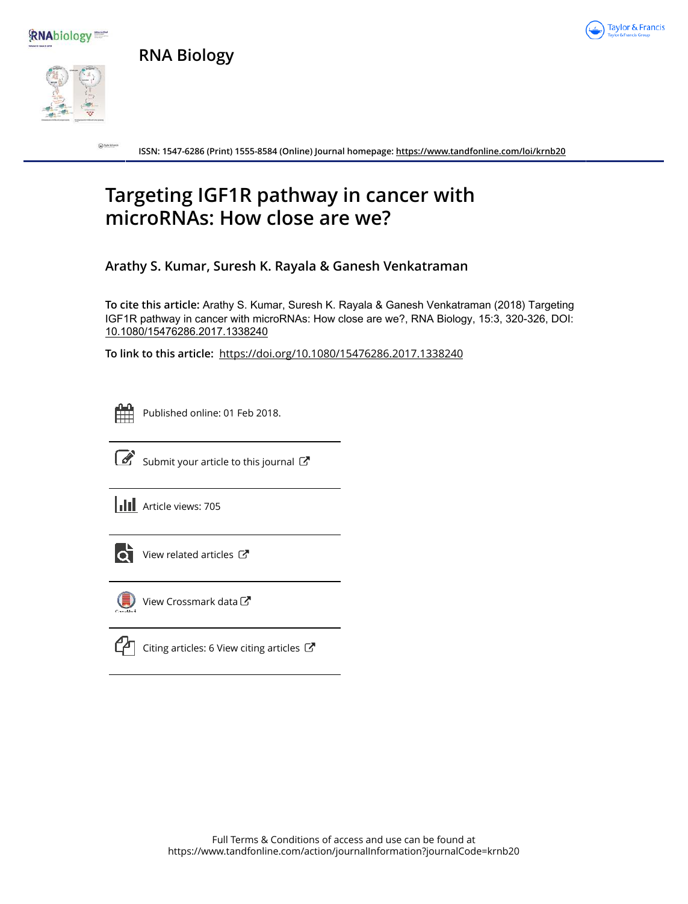





 $\bigcirc$ 

**Taylor & Francis** 

**ISSN: 1547-6286 (Print) 1555-8584 (Online) Journal homepage: https://www.tandfonline.com/loi/krnb20**

# **Targeting IGF1R pathway in cancer with microRNAs: How close are we?**

**Arathy S. Kumar, Suresh K. Rayala & Ganesh Venkatraman**

**To cite this article:** Arathy S. Kumar, Suresh K. Rayala & Ganesh Venkatraman (2018) Targeting IGF1R pathway in cancer with microRNAs: How close are we?, RNA Biology, 15:3, 320-326, DOI: 10.1080/15476286.2017.1338240

**To link to this article:** https://doi.org/10.1080/15476286.2017.1338240



Published online: 01 Feb 2018.



 $\overline{\mathcal{C}}$  Submit your article to this journal  $\mathbb{C}$ 

**III** Article views: 705



View related articles C



View Crossmark data $\mathbb{Z}$ 

Citing articles: 6 View citing articles  $\mathbb{Z}$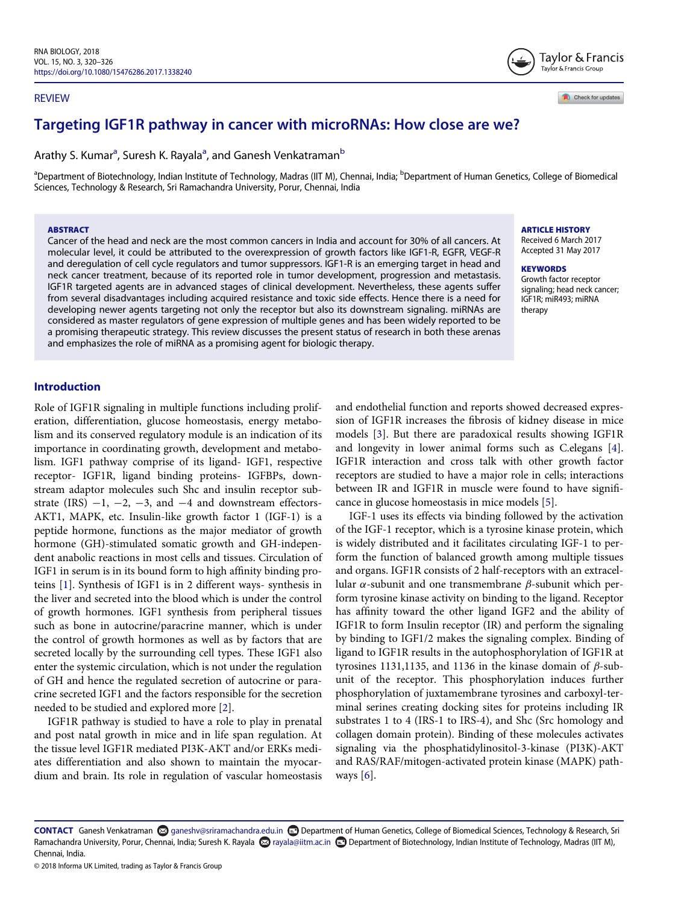#### REVIEW

Taylor & Francis Taylor & Francis Group

Check for updates

# Targeting IGF1R pathway in cancer with microRNAs: How close are we?

Arathy S. Kumar<sup>a</sup>, Suresh K. Rayala<sup>a</sup>, and Ganesh Venkatraman<sup>b</sup>

<sup>a</sup>Department of Biotechnology, Indian Institute of Technology, Madras (IIT M), Chennai, India; <sup>b</sup>Department of Human Genetics, College of Biomedical Sciences, Technology & Research, Sri Ramachandra University, Porur, Chennai, India

#### ABSTRACT

Cancer of the head and neck are the most common cancers in India and account for 30% of all cancers. At molecular level, it could be attributed to the overexpression of growth factors like IGF1-R, EGFR, VEGF-R and deregulation of cell cycle regulators and tumor suppressors. IGF1-R is an emerging target in head and neck cancer treatment, because of its reported role in tumor development, progression and metastasis. IGF1R targeted agents are in advanced stages of clinical development. Nevertheless, these agents suffer from several disadvantages including acquired resistance and toxic side effects. Hence there is a need for developing newer agents targeting not only the receptor but also its downstream signaling. miRNAs are considered as master regulators of gene expression of multiple genes and has been widely reported to be a promising therapeutic strategy. This review discusses the present status of research in both these arenas and emphasizes the role of miRNA as a promising agent for biologic therapy.

#### ARTICLE HISTORY

Received 6 March 2017 Accepted 31 May 2017

#### **KEYWORDS**

Growth factor receptor signaling; head neck cancer; IGF1R; miR493; miRNA therapy

# Introduction

Role of IGF1R signaling in multiple functions including proliferation, differentiation, glucose homeostasis, energy metabolism and its conserved regulatory module is an indication of its importance in coordinating growth, development and metabolism. IGF1 pathway comprise of its ligand- IGF1, respective receptor- IGF1R, ligand binding proteins- IGFBPs, downstream adaptor molecules such Shc and insulin receptor substrate (IRS)  $-1$ ,  $-2$ ,  $-3$ , and  $-4$  and downstream effectors-AKT1, MAPK, etc. Insulin-like growth factor 1 (IGF-1) is a peptide hormone, functions as the major mediator of growth hormone (GH)-stimulated somatic growth and GH-independent anabolic reactions in most cells and tissues. Circulation of IGF1 in serum is in its bound form to high affinity binding proteins [1]. Synthesis of IGF1 is in 2 different ways- synthesis in the liver and secreted into the blood which is under the control of growth hormones. IGF1 synthesis from peripheral tissues such as bone in autocrine/paracrine manner, which is under the control of growth hormones as well as by factors that are secreted locally by the surrounding cell types. These IGF1 also enter the systemic circulation, which is not under the regulation of GH and hence the regulated secretion of autocrine or paracrine secreted IGF1 and the factors responsible for the secretion needed to be studied and explored more [2].

IGF1R pathway is studied to have a role to play in prenatal and post natal growth in mice and in life span regulation. At the tissue level IGF1R mediated PI3K-AKT and/or ERKs mediates differentiation and also shown to maintain the myocardium and brain. Its role in regulation of vascular homeostasis

and endothelial function and reports showed decreased expression of IGF1R increases the fibrosis of kidney disease in mice models [3]. But there are paradoxical results showing IGF1R and longevity in lower animal forms such as C.elegans [4]. IGF1R interaction and cross talk with other growth factor receptors are studied to have a major role in cells; interactions between IR and IGF1R in muscle were found to have significance in glucose homeostasis in mice models [5].

IGF-1 uses its effects via binding followed by the activation of the IGF-1 receptor, which is a tyrosine kinase protein, which is widely distributed and it facilitates circulating IGF-1 to perform the function of balanced growth among multiple tissues and organs. IGF1R consists of 2 half-receptors with an extracellular  $\alpha$ -subunit and one transmembrane  $\beta$ -subunit which perform tyrosine kinase activity on binding to the ligand. Receptor has affinity toward the other ligand IGF2 and the ability of IGF1R to form Insulin receptor (IR) and perform the signaling by binding to IGF1/2 makes the signaling complex. Binding of ligand to IGF1R results in the autophosphorylation of IGF1R at tyrosines 1131,1135, and 1136 in the kinase domain of  $\beta$ -subunit of the receptor. This phosphorylation induces further phosphorylation of juxtamembrane tyrosines and carboxyl-terminal serines creating docking sites for proteins including IR substrates 1 to 4 (IRS-1 to IRS-4), and Shc (Src homology and collagen domain protein). Binding of these molecules activates signaling via the phosphatidylinositol-3-kinase (PI3K)-AKT and RAS/RAF/mitogen-activated protein kinase (MAPK) pathways  $[6]$ .

© 2018 Informa UK Limited, trading as Taylor & Francis Group

CONTACT Ganesh Venkatraman @ ganeshv@sriramachandra.edu.in @ Department of Human Genetics, College of Biomedical Sciences, Technology & Research, Sri Ramachandra University, Porur, Chennai, India; Suresh K. Rayala @izala@iitm.ac.in @Department of Biotechnology, Indian Institute of Technology, Madras (IIT M), Chennai, India.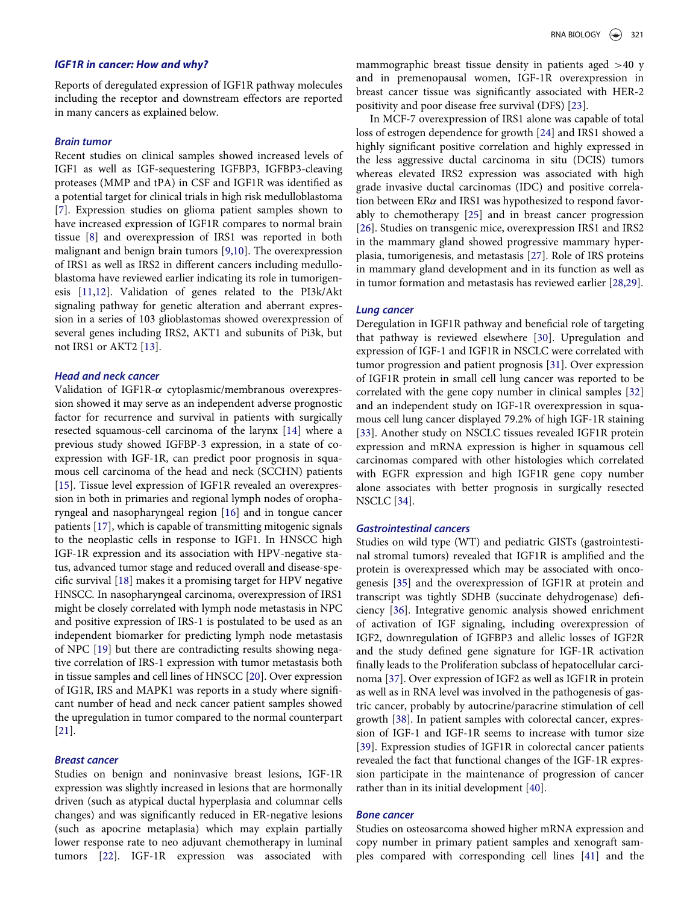#### IGF1R in cancer: How and why?

Reports of deregulated expression of IGF1R pathway molecules including the receptor and downstream effectors are reported in many cancers as explained below.

#### Brain tumor

Recent studies on clinical samples showed increased levels of IGF1 as well as IGF-sequestering IGFBP3, IGFBP3-cleaving proteases (MMP and tPA) in CSF and IGF1R was identified as a potential target for clinical trials in high risk medulloblastoma [7]. Expression studies on glioma patient samples shown to have increased expression of IGF1R compares to normal brain tissue [8] and overexpression of IRS1 was reported in both malignant and benign brain tumors [9,10]. The overexpression of IRS1 as well as IRS2 in different cancers including medulloblastoma have reviewed earlier indicating its role in tumorigenesis [11,12]. Validation of genes related to the PI3k/Akt signaling pathway for genetic alteration and aberrant expression in a series of 103 glioblastomas showed overexpression of several genes including IRS2, AKT1 and subunits of Pi3k, but not IRS1 or AKT2 [13].

## Head and neck cancer

Validation of IGF1R- $\alpha$  cytoplasmic/membranous overexpression showed it may serve as an independent adverse prognostic factor for recurrence and survival in patients with surgically resected squamous-cell carcinoma of the larynx [14] where a previous study showed IGFBP-3 expression, in a state of coexpression with IGF-1R, can predict poor prognosis in squamous cell carcinoma of the head and neck (SCCHN) patients [15]. Tissue level expression of IGF1R revealed an overexpression in both in primaries and regional lymph nodes of oropharyngeal and nasopharyngeal region [16] and in tongue cancer patients [17], which is capable of transmitting mitogenic signals to the neoplastic cells in response to IGF1. In HNSCC high IGF-1R expression and its association with HPV-negative status, advanced tumor stage and reduced overall and disease-specific survival [18] makes it a promising target for HPV negative HNSCC. In nasopharyngeal carcinoma, overexpression of IRS1 might be closely correlated with lymph node metastasis in NPC and positive expression of IRS-1 is postulated to be used as an independent biomarker for predicting lymph node metastasis of NPC [19] but there are contradicting results showing negative correlation of IRS-1 expression with tumor metastasis both in tissue samples and cell lines of HNSCC [20]. Over expression of IG1R, IRS and MAPK1 was reports in a study where significant number of head and neck cancer patient samples showed the upregulation in tumor compared to the normal counterpart [21].

# Breast cancer

Studies on benign and noninvasive breast lesions, IGF-1R expression was slightly increased in lesions that are hormonally driven (such as atypical ductal hyperplasia and columnar cells changes) and was significantly reduced in ER-negative lesions (such as apocrine metaplasia) which may explain partially lower response rate to neo adjuvant chemotherapy in luminal tumors [22]. IGF-1R expression was associated with

mammographic breast tissue density in patients aged >40 y and in premenopausal women, IGF-1R overexpression in breast cancer tissue was significantly associated with HER-2 positivity and poor disease free survival (DFS) [23].

In MCF-7 overexpression of IRS1 alone was capable of total loss of estrogen dependence for growth [24] and IRS1 showed a highly significant positive correlation and highly expressed in the less aggressive ductal carcinoma in situ (DCIS) tumors whereas elevated IRS2 expression was associated with high grade invasive ductal carcinomas (IDC) and positive correlation between  $ER\alpha$  and IRS1 was hypothesized to respond favorably to chemotherapy [25] and in breast cancer progression [26]. Studies on transgenic mice, overexpression IRS1 and IRS2 in the mammary gland showed progressive mammary hyperplasia, tumorigenesis, and metastasis [27]. Role of IRS proteins in mammary gland development and in its function as well as in tumor formation and metastasis has reviewed earlier [28,29].

#### Lung cancer

Deregulation in IGF1R pathway and beneficial role of targeting that pathway is reviewed elsewhere [30]. Upregulation and expression of IGF-1 and IGF1R in NSCLC were correlated with tumor progression and patient prognosis [31]. Over expression of IGF1R protein in small cell lung cancer was reported to be correlated with the gene copy number in clinical samples [32] and an independent study on IGF-1R overexpression in squamous cell lung cancer displayed 79.2% of high IGF-1R staining [33]. Another study on NSCLC tissues revealed IGF1R protein expression and mRNA expression is higher in squamous cell carcinomas compared with other histologies which correlated with EGFR expression and high IGF1R gene copy number alone associates with better prognosis in surgically resected NSCLC [34].

# Gastrointestinal cancers

Studies on wild type (WT) and pediatric GISTs (gastrointestinal stromal tumors) revealed that IGF1R is amplified and the protein is overexpressed which may be associated with oncogenesis [35] and the overexpression of IGF1R at protein and transcript was tightly SDHB (succinate dehydrogenase) deficiency [36]. Integrative genomic analysis showed enrichment of activation of IGF signaling, including overexpression of IGF2, downregulation of IGFBP3 and allelic losses of IGF2R and the study defined gene signature for IGF-1R activation finally leads to the Proliferation subclass of hepatocellular carcinoma [37]. Over expression of IGF2 as well as IGF1R in protein as well as in RNA level was involved in the pathogenesis of gastric cancer, probably by autocrine/paracrine stimulation of cell growth [38]. In patient samples with colorectal cancer, expression of IGF-1 and IGF-1R seems to increase with tumor size [39]. Expression studies of IGF1R in colorectal cancer patients revealed the fact that functional changes of the IGF-1R expression participate in the maintenance of progression of cancer rather than in its initial development [40].

#### Bone cancer

Studies on osteosarcoma showed higher mRNA expression and copy number in primary patient samples and xenograft samples compared with corresponding cell lines [41] and the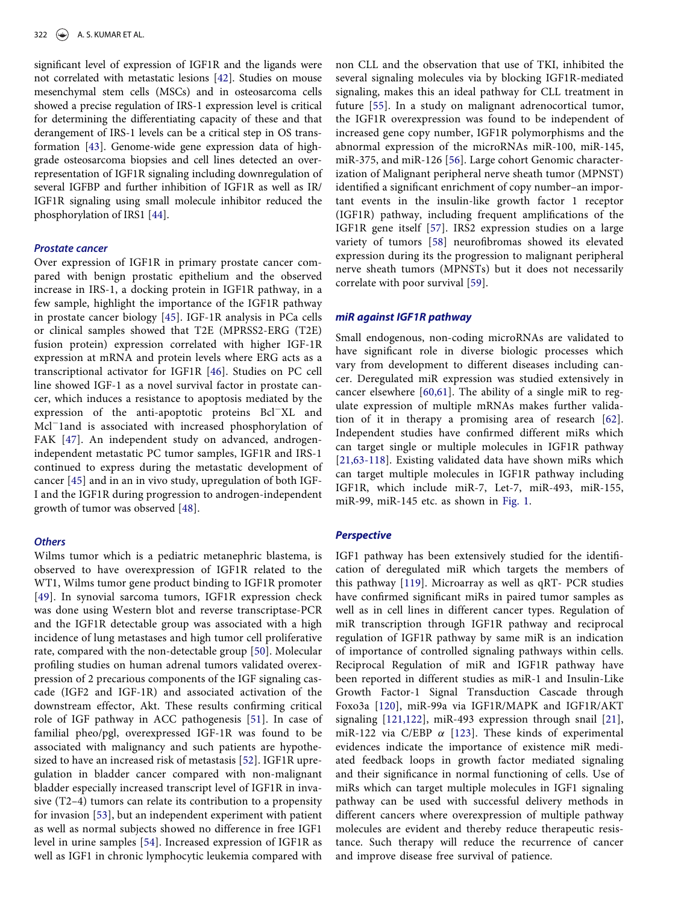significant level of expression of IGF1R and the ligands were not correlated with metastatic lesions [42]. Studies on mouse mesenchymal stem cells (MSCs) and in osteosarcoma cells showed a precise regulation of IRS-1 expression level is critical for determining the differentiating capacity of these and that derangement of IRS-1 levels can be a critical step in OS transformation [43]. Genome-wide gene expression data of highgrade osteosarcoma biopsies and cell lines detected an overrepresentation of IGF1R signaling including downregulation of several IGFBP and further inhibition of IGF1R as well as IR/ IGF1R signaling using small molecule inhibitor reduced the phosphorylation of IRS1 [44].

#### Prostate cancer

Over expression of IGF1R in primary prostate cancer compared with benign prostatic epithelium and the observed increase in IRS-1, a docking protein in IGF1R pathway, in a few sample, highlight the importance of the IGF1R pathway in prostate cancer biology [45]. IGF-1R analysis in PCa cells or clinical samples showed that T2E (MPRSS2-ERG (T2E) fusion protein) expression correlated with higher IGF-1R expression at mRNA and protein levels where ERG acts as a transcriptional activator for IGF1R [46]. Studies on PC cell line showed IGF-1 as a novel survival factor in prostate cancer, which induces a resistance to apoptosis mediated by the expression of the anti-apoptotic proteins Bcl<sup>-</sup>XL and Mcl<sup>-</sup>land is associated with increased phosphorylation of FAK [47]. An independent study on advanced, androgenindependent metastatic PC tumor samples, IGF1R and IRS-1 continued to express during the metastatic development of cancer [45] and in an in vivo study, upregulation of both IGF-I and the IGF1R during progression to androgen-independent growth of tumor was observed [48].

# **Others**

Wilms tumor which is a pediatric metanephric blastema, is observed to have overexpression of IGF1R related to the WT1, Wilms tumor gene product binding to IGF1R promoter [49]. In synovial sarcoma tumors, IGF1R expression check was done using Western blot and reverse transcriptase-PCR and the IGF1R detectable group was associated with a high incidence of lung metastases and high tumor cell proliferative rate, compared with the non-detectable group [50]. Molecular profiling studies on human adrenal tumors validated overexpression of 2 precarious components of the IGF signaling cascade (IGF2 and IGF-1R) and associated activation of the downstream effector, Akt. These results confirming critical role of IGF pathway in ACC pathogenesis [51]. In case of familial pheo/pgl, overexpressed IGF-1R was found to be associated with malignancy and such patients are hypothesized to have an increased risk of metastasis [52]. IGF1R upregulation in bladder cancer compared with non-malignant bladder especially increased transcript level of IGF1R in invasive (T2–4) tumors can relate its contribution to a propensity for invasion [53], but an independent experiment with patient as well as normal subjects showed no difference in free IGF1 level in urine samples [54]. Increased expression of IGF1R as well as IGF1 in chronic lymphocytic leukemia compared with

non CLL and the observation that use of TKI, inhibited the several signaling molecules via by blocking IGF1R-mediated signaling, makes this an ideal pathway for CLL treatment in future [55]. In a study on malignant adrenocortical tumor, the IGF1R overexpression was found to be independent of increased gene copy number, IGF1R polymorphisms and the abnormal expression of the microRNAs miR-100, miR-145, miR-375, and miR-126 [56]. Large cohort Genomic characterization of Malignant peripheral nerve sheath tumor (MPNST) identified a significant enrichment of copy number–an important events in the insulin-like growth factor 1 receptor (IGF1R) pathway, including frequent amplifications of the IGF1R gene itself [57]. IRS2 expression studies on a large variety of tumors [58] neurofibromas showed its elevated expression during its the progression to malignant peripheral nerve sheath tumors (MPNSTs) but it does not necessarily correlate with poor survival [59].

#### miR against IGF1R pathway

Small endogenous, non-coding microRNAs are validated to have significant role in diverse biologic processes which vary from development to different diseases including cancer. Deregulated miR expression was studied extensively in cancer elsewhere [60,61]. The ability of a single miR to regulate expression of multiple mRNAs makes further validation of it in therapy a promising area of research [62]. Independent studies have confirmed different miRs which can target single or multiple molecules in IGF1R pathway [21,63-118]. Existing validated data have shown miRs which can target multiple molecules in IGF1R pathway including IGF1R, which include miR-7, Let-7, miR-493, miR-155, miR-99, miR-145 etc. as shown in Fig. 1.

#### **Perspective**

IGF1 pathway has been extensively studied for the identification of deregulated miR which targets the members of this pathway [119]. Microarray as well as qRT- PCR studies have confirmed significant miRs in paired tumor samples as well as in cell lines in different cancer types. Regulation of miR transcription through IGF1R pathway and reciprocal regulation of IGF1R pathway by same miR is an indication of importance of controlled signaling pathways within cells. Reciprocal Regulation of miR and IGF1R pathway have been reported in different studies as miR-1 and Insulin-Like Growth Factor-1 Signal Transduction Cascade through Foxo3a [120], miR-99a via IGF1R/MAPK and IGF1R/AKT signaling [121,122], miR-493 expression through snail [21], miR-122 via C/EBP  $\alpha$  [123]. These kinds of experimental evidences indicate the importance of existence miR mediated feedback loops in growth factor mediated signaling and their significance in normal functioning of cells. Use of miRs which can target multiple molecules in IGF1 signaling pathway can be used with successful delivery methods in different cancers where overexpression of multiple pathway molecules are evident and thereby reduce therapeutic resistance. Such therapy will reduce the recurrence of cancer and improve disease free survival of patience.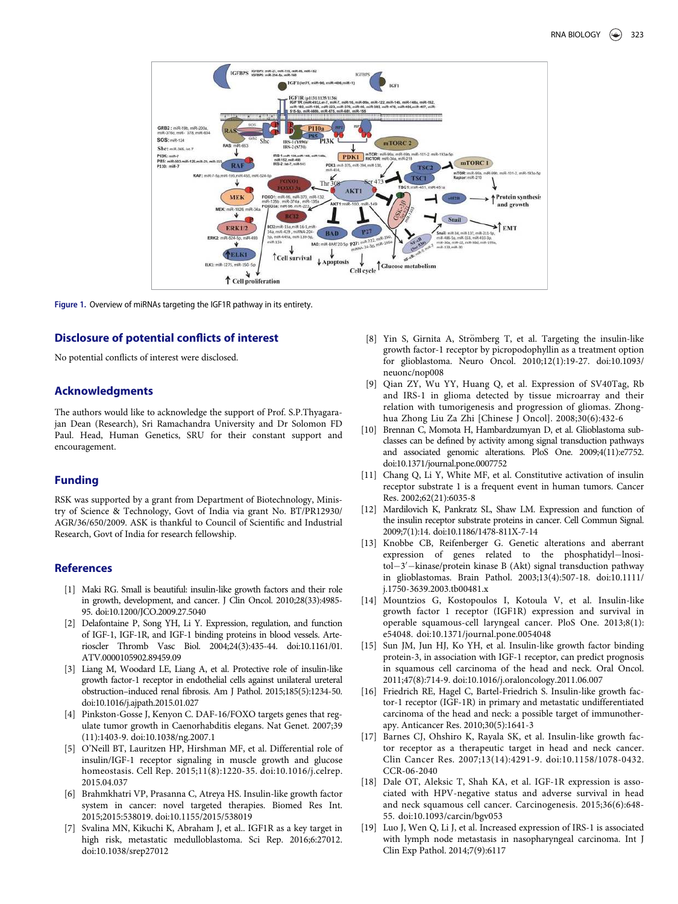

Figure 1. Overview of miRNAs targeting the IGF1R pathway in its entirety.

#### Disclosure of potential conflicts of interest

No potential conflicts of interest were disclosed.

# Acknowledgments

The authors would like to acknowledge the support of Prof. S.P.Thyagarajan Dean (Research), Sri Ramachandra University and Dr Solomon FD Paul. Head, Human Genetics, SRU for their constant support and encouragement.

#### Funding

RSK was supported by a grant from Department of Biotechnology, Ministry of Science & Technology, Govt of India via grant No. BT/PR12930/ AGR/36/650/2009. ASK is thankful to Council of Scientific and Industrial Research, Govt of India for research fellowship.

# References

- [1] Maki RG. Small is beautiful: insulin-like growth factors and their role in growth, development, and cancer. J Clin Oncol. 2010;28(33):4985- 95. doi:10.1200/JCO.2009.27.5040
- [2] Delafontaine P, Song YH, Li Y. Expression, regulation, and function of IGF-1, IGF-1R, and IGF-1 binding proteins in blood vessels. Arterioscler Thromb Vasc Biol. 2004;24(3):435-44. doi:10.1161/01. ATV.0000105902.89459.09
- [3] Liang M, Woodard LE, Liang A, et al. Protective role of insulin-like growth factor-1 receptor in endothelial cells against unilateral ureteral obstruction–induced renal fibrosis. Am J Pathol. 2015;185(5):1234-50. doi:10.1016/j.ajpath.2015.01.027
- [4] Pinkston-Gosse J, Kenyon C. DAF-16/FOXO targets genes that regulate tumor growth in Caenorhabditis elegans. Nat Genet. 2007;39 (11):1403-9. doi:10.1038/ng.2007.1
- [5] O'Neill BT, Lauritzen HP, Hirshman MF, et al. Differential role of insulin/IGF-1 receptor signaling in muscle growth and glucose homeostasis. Cell Rep. 2015;11(8):1220-35. doi:10.1016/j.celrep. 2015.04.037
- [6] Brahmkhatri VP, Prasanna C, Atreya HS. Insulin-like growth factor system in cancer: novel targeted therapies. Biomed Res Int. 2015;2015:538019. doi:10.1155/2015/538019
- [7] Svalina MN, Kikuchi K, Abraham J, et al.. IGF1R as a key target in high risk, metastatic medulloblastoma. Sci Rep. 2016;6:27012. doi:10.1038/srep27012
- [8] Yin S, Girnita A, Strömberg T, et al. Targeting the insulin-like growth factor-1 receptor by picropodophyllin as a treatment option for glioblastoma. Neuro Oncol. 2010;12(1):19-27. doi:10.1093/ neuonc/nop008
- [9] Qian ZY, Wu YY, Huang Q, et al. Expression of SV40Tag, Rb and IRS-1 in glioma detected by tissue microarray and their relation with tumorigenesis and progression of gliomas. Zhonghua Zhong Liu Za Zhi [Chinese J Oncol]. 2008;30(6):432-6
- [10] Brennan C, Momota H, Hambardzumyan D, et al. Glioblastoma subclasses can be defined by activity among signal transduction pathways and associated genomic alterations. PloS One. 2009;4(11):e7752. doi:10.1371/journal.pone.0007752
- [11] Chang Q, Li Y, White MF, et al. Constitutive activation of insulin receptor substrate 1 is a frequent event in human tumors. Cancer Res. 2002;62(21):6035-8
- [12] Mardilovich K, Pankratz SL, Shaw LM. Expression and function of the insulin receptor substrate proteins in cancer. Cell Commun Signal. 2009;7(1):14. doi:10.1186/1478-811X-7-14
- [13] Knobbe CB, Reifenberger G. Genetic alterations and aberrant expression of genes related to the phosphatidyl-lnositol-3'-kinase/protein kinase B (Akt) signal transduction pathway in glioblastomas. Brain Pathol. 2003;13(4):507-18. doi:10.1111/ j.1750-3639.2003.tb00481.x
- [14] Mountzios G, Kostopoulos I, Kotoula V, et al. Insulin-like growth factor 1 receptor (IGF1R) expression and survival in operable squamous-cell laryngeal cancer. PloS One. 2013;8(1): e54048. doi:10.1371/journal.pone.0054048
- [15] Sun JM, Jun HJ, Ko YH, et al. Insulin-like growth factor binding protein-3, in association with IGF-1 receptor, can predict prognosis in squamous cell carcinoma of the head and neck. Oral Oncol. 2011;47(8):714-9. doi:10.1016/j.oraloncology.2011.06.007
- [16] Friedrich RE, Hagel C, Bartel-Friedrich S. Insulin-like growth factor-1 receptor (IGF-1R) in primary and metastatic undifferentiated carcinoma of the head and neck: a possible target of immunotherapy. Anticancer Res. 2010;30(5):1641-3
- [17] Barnes CJ, Ohshiro K, Rayala SK, et al. Insulin-like growth factor receptor as a therapeutic target in head and neck cancer. Clin Cancer Res. 2007;13(14):4291-9. doi:10.1158/1078-0432. CCR-06-2040
- [18] Dale OT, Aleksic T, Shah KA, et al. IGF-1R expression is associated with HPV-negative status and adverse survival in head and neck squamous cell cancer. Carcinogenesis. 2015;36(6):648- 55. doi:10.1093/carcin/bgv053
- [19] Luo J, Wen Q, Li J, et al. Increased expression of IRS-1 is associated with lymph node metastasis in nasopharyngeal carcinoma. Int J Clin Exp Pathol. 2014;7(9):6117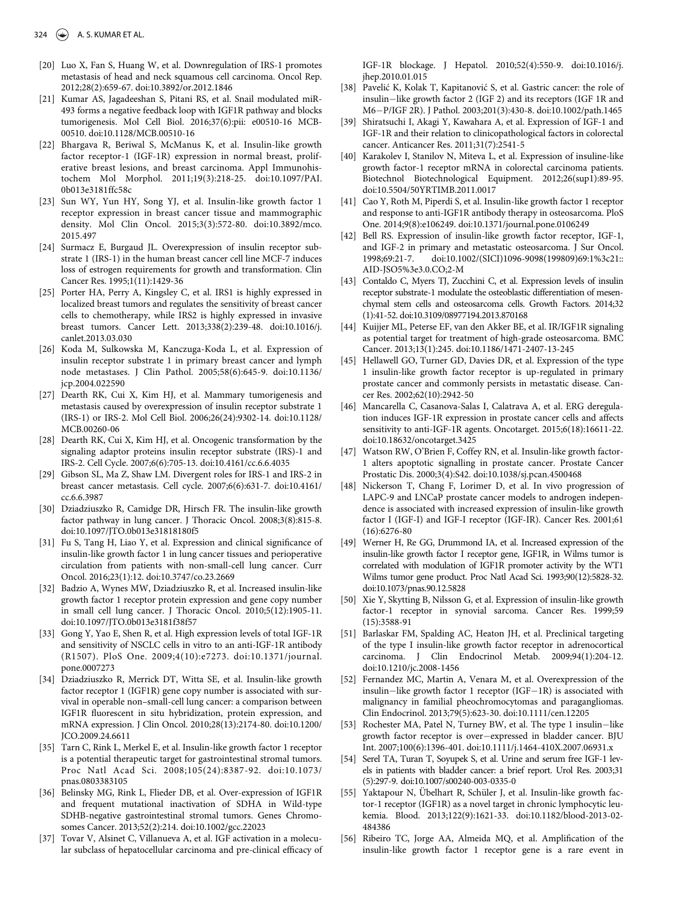- [20] Luo X, Fan S, Huang W, et al. Downregulation of IRS-1 promotes metastasis of head and neck squamous cell carcinoma. Oncol Rep. 2012;28(2):659-67. doi:10.3892/or.2012.1846
- [21] Kumar AS, Jagadeeshan S, Pitani RS, et al. Snail modulated miR-493 forms a negative feedback loop with IGF1R pathway and blocks tumorigenesis. Mol Cell Biol. 2016;37(6):pii: e00510-16 MCB-00510. doi:10.1128/MCB.00510-16
- [22] Bhargava R, Beriwal S, McManus K, et al. Insulin-like growth factor receptor-1 (IGF-1R) expression in normal breast, proliferative breast lesions, and breast carcinoma. Appl Immunohistochem Mol Morphol. 2011;19(3):218-25. doi:10.1097/PAI. 0b013e3181ffc58c
- [23] Sun WY, Yun HY, Song YJ, et al. Insulin-like growth factor 1 receptor expression in breast cancer tissue and mammographic density. Mol Clin Oncol. 2015;3(3):572-80. doi:10.3892/mco. 2015.497
- [24] Surmacz E, Burgaud JL. Overexpression of insulin receptor substrate 1 (IRS-1) in the human breast cancer cell line MCF-7 induces loss of estrogen requirements for growth and transformation. Clin Cancer Res. 1995;1(11):1429-36
- [25] Porter HA, Perry A, Kingsley C, et al. IRS1 is highly expressed in localized breast tumors and regulates the sensitivity of breast cancer cells to chemotherapy, while IRS2 is highly expressed in invasive breast tumors. Cancer Lett. 2013;338(2):239-48. doi:10.1016/j. canlet.2013.03.030
- [26] Koda M, Sulkowska M, Kanczuga-Koda L, et al. Expression of insulin receptor substrate 1 in primary breast cancer and lymph node metastases. J Clin Pathol. 2005;58(6):645-9. doi:10.1136/ jcp.2004.022590
- [27] Dearth RK, Cui X, Kim HJ, et al. Mammary tumorigenesis and metastasis caused by overexpression of insulin receptor substrate 1 (IRS-1) or IRS-2. Mol Cell Biol. 2006;26(24):9302-14. doi:10.1128/ MCB.00260-06
- [28] Dearth RK, Cui X, Kim HJ, et al. Oncogenic transformation by the signaling adaptor proteins insulin receptor substrate (IRS)-1 and IRS-2. Cell Cycle. 2007;6(6):705-13. doi:10.4161/cc.6.6.4035
- [29] Gibson SL, Ma Z, Shaw LM. Divergent roles for IRS-1 and IRS-2 in breast cancer metastasis. Cell cycle. 2007;6(6):631-7. doi:10.4161/ cc.6.6.3987
- [30] Dziadziuszko R, Camidge DR, Hirsch FR. The insulin-like growth factor pathway in lung cancer. J Thoracic Oncol. 2008;3(8):815-8. doi:10.1097/JTO.0b013e31818180f5
- [31] Fu S, Tang H, Liao Y, et al. Expression and clinical significance of insulin-like growth factor 1 in lung cancer tissues and perioperative circulation from patients with non-small-cell lung cancer. Curr Oncol. 2016;23(1):12. doi:10.3747/co.23.2669
- [32] Badzio A, Wynes MW, Dziadziuszko R, et al. Increased insulin-like growth factor 1 receptor protein expression and gene copy number in small cell lung cancer. J Thoracic Oncol. 2010;5(12):1905-11. doi:10.1097/JTO.0b013e3181f38f57
- [33] Gong Y, Yao E, Shen R, et al. High expression levels of total IGF-1R and sensitivity of NSCLC cells in vitro to an anti-IGF-1R antibody (R1507). PloS One. 2009;4(10):e7273. doi:10.1371/journal. pone.0007273
- [34] Dziadziuszko R, Merrick DT, Witta SE, et al. Insulin-like growth factor receptor 1 (IGF1R) gene copy number is associated with survival in operable non–small-cell lung cancer: a comparison between IGF1R fluorescent in situ hybridization, protein expression, and mRNA expression. J Clin Oncol. 2010;28(13):2174-80. doi:10.1200/ JCO.2009.24.6611
- [35] Tarn C, Rink L, Merkel E, et al. Insulin-like growth factor 1 receptor is a potential therapeutic target for gastrointestinal stromal tumors. Proc Natl Acad Sci. 2008;105(24):8387-92. doi:10.1073/ pnas.0803383105
- [36] Belinsky MG, Rink L, Flieder DB, et al. Over-expression of IGF1R and frequent mutational inactivation of SDHA in Wild-type SDHB-negative gastrointestinal stromal tumors. Genes Chromosomes Cancer. 2013;52(2):214. doi:10.1002/gcc.22023
- [37] Tovar V, Alsinet C, Villanueva A, et al. IGF activation in a molecular subclass of hepatocellular carcinoma and pre-clinical efficacy of

IGF-1R blockage. J Hepatol. 2010;52(4):550-9. doi:10.1016/j. jhep.2010.01.015

- [38] Pavelić K, Kolak T, Kapitanović S, et al. Gastric cancer: the role of insulin-like growth factor 2 (IGF 2) and its receptors (IGF 1R and M6-P/IGF 2R). J Pathol. 2003;201(3):430-8. doi:10.1002/path.1465
- [39] Shiratsuchi I, Akagi Y, Kawahara A, et al. Expression of IGF-1 and IGF-1R and their relation to clinicopathological factors in colorectal cancer. Anticancer Res. 2011;31(7):2541-5
- [40] Karakolev I, Stanilov N, Miteva L, et al. Expression of insuline-like growth factor-1 receptor mRNA in colorectal carcinoma patients. Biotechnol Biotechnological Equipment. 2012;26(sup1):89-95. doi:10.5504/50YRTIMB.2011.0017
- [41] Cao Y, Roth M, Piperdi S, et al. Insulin-like growth factor 1 receptor and response to anti-IGF1R antibody therapy in osteosarcoma. PloS One. 2014;9(8):e106249. doi:10.1371/journal.pone.0106249
- [42] Bell RS. Expression of insulin-like growth factor receptor, IGF-1, and IGF-2 in primary and metastatic osteosarcoma. J Sur Oncol. 1998;69:21-7. doi:10.1002/(SICI)1096-9098(199809)69:1%3c21:: AID-JSO5%3e3.0.CO;2-M
- [43] Contaldo C, Myers TJ, Zucchini C, et al. Expression levels of insulin receptor substrate-1 modulate the osteoblastic differentiation of mesenchymal stem cells and osteosarcoma cells. Growth Factors. 2014;32 (1):41-52. doi:10.3109/08977194.2013.870168
- [44] Kuijjer ML, Peterse EF, van den Akker BE, et al. IR/IGF1R signaling as potential target for treatment of high-grade osteosarcoma. BMC Cancer. 2013;13(1):245. doi:10.1186/1471-2407-13-245
- [45] Hellawell GO, Turner GD, Davies DR, et al. Expression of the type 1 insulin-like growth factor receptor is up-regulated in primary prostate cancer and commonly persists in metastatic disease. Cancer Res. 2002;62(10):2942-50
- [46] Mancarella C, Casanova-Salas I, Calatrava A, et al. ERG deregulation induces IGF-1R expression in prostate cancer cells and affects sensitivity to anti-IGF-1R agents. Oncotarget. 2015;6(18):16611-22. doi:10.18632/oncotarget.3425
- [47] Watson RW, O'Brien F, Coffey RN, et al. Insulin-like growth factor-1 alters apoptotic signalling in prostate cancer. Prostate Cancer Prostatic Dis. 2000;3(4):S42. doi:10.1038/sj.pcan.4500468
- [48] Nickerson T, Chang F, Lorimer D, et al. In vivo progression of LAPC-9 and LNCaP prostate cancer models to androgen independence is associated with increased expression of insulin-like growth factor I (IGF-I) and IGF-I receptor (IGF-IR). Cancer Res. 2001;61 (16):6276-80
- [49] Werner H, Re GG, Drummond IA, et al. Increased expression of the insulin-like growth factor I receptor gene, IGF1R, in Wilms tumor is correlated with modulation of IGF1R promoter activity by the WT1 Wilms tumor gene product. Proc Natl Acad Sci. 1993;90(12):5828-32. doi:10.1073/pnas.90.12.5828
- [50] Xie Y, Skytting B, Nilsson G, et al. Expression of insulin-like growth factor-1 receptor in synovial sarcoma. Cancer Res. 1999;59 (15):3588-91
- [51] Barlaskar FM, Spalding AC, Heaton JH, et al. Preclinical targeting of the type I insulin-like growth factor receptor in adrenocortical carcinoma. J Clin Endocrinol Metab. 2009;94(1):204-12. doi:10.1210/jc.2008-1456
- [52] Fernandez MC, Martin A, Venara M, et al. Overexpression of the insulin-like growth factor 1 receptor (IGF-1R) is associated with malignancy in familial pheochromocytomas and paragangliomas. Clin Endocrinol. 2013;79(5):623-30. doi:10.1111/cen.12205
- [53] Rochester MA, Patel N, Turney BW, et al. The type 1 insulin-like growth factor receptor is over-expressed in bladder cancer. BJU Int. 2007;100(6):1396-401. doi:10.1111/j.1464-410X.2007.06931.x
- [54] Serel TA, Turan T, Soyupek S, et al. Urine and serum free IGF-1 levels in patients with bladder cancer: a brief report. Urol Res. 2003;31 (5):297-9. doi:10.1007/s00240-003-0335-0
- [55] Yaktapour N, Übelhart R, Schüler J, et al. Insulin-like growth factor-1 receptor (IGF1R) as a novel target in chronic lymphocytic leukemia. Blood. 2013;122(9):1621-33. doi:10.1182/blood-2013-02- 484386
- [56] Ribeiro TC, Jorge AA, Almeida MQ, et al. Amplification of the insulin-like growth factor 1 receptor gene is a rare event in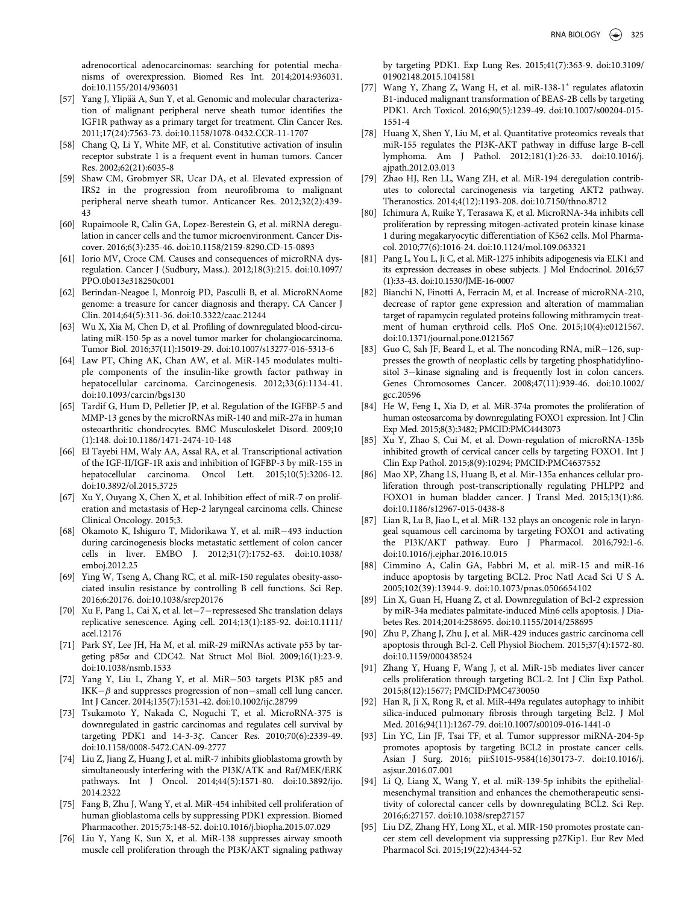adrenocortical adenocarcinomas: searching for potential mechanisms of overexpression. Biomed Res Int. 2014;2014:936031. doi:10.1155/2014/936031

- [57] Yang J, Ylipää A, Sun Y, et al. Genomic and molecular characterization of malignant peripheral nerve sheath tumor identifies the IGF1R pathway as a primary target for treatment. Clin Cancer Res. 2011;17(24):7563-73. doi:10.1158/1078-0432.CCR-11-1707
- [58] Chang Q, Li Y, White MF, et al. Constitutive activation of insulin receptor substrate 1 is a frequent event in human tumors. Cancer Res. 2002;62(21):6035-8
- [59] Shaw CM, Grobmyer SR, Ucar DA, et al. Elevated expression of IRS2 in the progression from neurofibroma to malignant peripheral nerve sheath tumor. Anticancer Res. 2012;32(2):439- 43
- [60] Rupaimoole R, Calin GA, Lopez-Berestein G, et al. miRNA deregulation in cancer cells and the tumor microenvironment. Cancer Discover. 2016;6(3):235-46. doi:10.1158/2159-8290.CD-15-0893
- [61] Iorio MV, Croce CM. Causes and consequences of microRNA dysregulation. Cancer J (Sudbury, Mass.). 2012;18(3):215. doi:10.1097/ PPO.0b013e318250c001
- [62] Berindan-Neagoe I, Monroig PD, Pasculli B, et al. MicroRNAome genome: a treasure for cancer diagnosis and therapy. CA Cancer J Clin. 2014;64(5):311-36. doi:10.3322/caac.21244
- [63] Wu X, Xia M, Chen D, et al. Profiling of downregulated blood-circulating miR-150-5p as a novel tumor marker for cholangiocarcinoma. Tumor Biol. 2016;37(11):15019-29. doi:10.1007/s13277-016-5313-6
- [64] Law PT, Ching AK, Chan AW, et al. MiR-145 modulates multiple components of the insulin-like growth factor pathway in hepatocellular carcinoma. Carcinogenesis. 2012;33(6):1134-41. doi:10.1093/carcin/bgs130
- [65] Tardif G, Hum D, Pelletier JP, et al. Regulation of the IGFBP-5 and MMP-13 genes by the microRNAs miR-140 and miR-27a in human osteoarthritic chondrocytes. BMC Musculoskelet Disord. 2009;10 (1):148. doi:10.1186/1471-2474-10-148
- [66] El Tayebi HM, Waly AA, Assal RA, et al. Transcriptional activation of the IGF-II/IGF-1R axis and inhibition of IGFBP-3 by miR-155 in hepatocellular carcinoma. Oncol Lett. 2015;10(5):3206-12. doi:10.3892/ol.2015.3725
- [67] Xu Y, Ouyang X, Chen X, et al. Inhibition effect of miR-7 on proliferation and metastasis of Hep-2 laryngeal carcinoma cells. Chinese Clinical Oncology. 2015;3.
- [68] Okamoto K, Ishiguro T, Midorikawa Y, et al. miR493 induction during carcinogenesis blocks metastatic settlement of colon cancer cells in liver. EMBO J. 2012;31(7):1752-63. doi:10.1038/ emboj.2012.25
- [69] Ying W, Tseng A, Chang RC, et al. miR-150 regulates obesity-associated insulin resistance by controlling B cell functions. Sci Rep. 2016;6:20176. doi:10.1038/srep20176
- [70] Xu F, Pang L, Cai X, et al. let $-7$ -repressesed Shc translation delays replicative senescence. Aging cell. 2014;13(1):185-92. doi:10.1111/ acel.12176
- [71] Park SY, Lee JH, Ha M, et al. miR-29 miRNAs activate p53 by targeting  $p85\alpha$  and CDC42. Nat Struct Mol Biol. 2009;16(1):23-9. doi:10.1038/nsmb.1533
- [72] Yang Y, Liu L, Zhang Y, et al. MiR-503 targets PI3K p85 and IKK $-\beta$  and suppresses progression of non-small cell lung cancer. Int J Cancer. 2014;135(7):1531-42. doi:10.1002/ijc.28799
- [73] Tsukamoto Y, Nakada C, Noguchi T, et al. MicroRNA-375 is downregulated in gastric carcinomas and regulates cell survival by targeting PDK1 and 14-3-3z. Cancer Res. 2010;70(6):2339-49. doi:10.1158/0008-5472.CAN-09-2777
- [74] Liu Z, Jiang Z, Huang J, et al. miR-7 inhibits glioblastoma growth by simultaneously interfering with the PI3K/ATK and Raf/MEK/ERK pathways. Int J Oncol. 2014;44(5):1571-80. doi:10.3892/ijo. 2014.2322
- [75] Fang B, Zhu J, Wang Y, et al. MiR-454 inhibited cell proliferation of human glioblastoma cells by suppressing PDK1 expression. Biomed Pharmacother. 2015;75:148-52. doi:10.1016/j.biopha.2015.07.029
- [76] Liu Y, Yang K, Sun X, et al. MiR-138 suppresses airway smooth muscle cell proliferation through the PI3K/AKT signaling pathway

by targeting PDK1. Exp Lung Res. 2015;41(7):363-9. doi:10.3109/ 01902148.2015.1041581

- [77] Wang Y, Zhang Z, Wang H, et al. miR-138-1<sup>\*</sup> regulates aflatoxin B1-induced malignant transformation of BEAS-2B cells by targeting PDK1. Arch Toxicol. 2016;90(5):1239-49. doi:10.1007/s00204-015- 1551-4
- [78] Huang X, Shen Y, Liu M, et al. Quantitative proteomics reveals that miR-155 regulates the PI3K-AKT pathway in diffuse large B-cell lymphoma. Am J Pathol. 2012;181(1):26-33. doi:10.1016/j. ajpath.2012.03.013
- [79] Zhao HJ, Ren LL, Wang ZH, et al. MiR-194 deregulation contributes to colorectal carcinogenesis via targeting AKT2 pathway. Theranostics. 2014;4(12):1193-208. doi:10.7150/thno.8712
- [80] Ichimura A, Ruike Y, Terasawa K, et al. MicroRNA-34a inhibits cell proliferation by repressing mitogen-activated protein kinase kinase 1 during megakaryocytic differentiation of K562 cells. Mol Pharmacol. 2010;77(6):1016-24. doi:10.1124/mol.109.063321
- [81] Pang L, You L, Ji C, et al. MiR-1275 inhibits adipogenesis via ELK1 and its expression decreases in obese subjects. J Mol Endocrinol. 2016;57 (1):33-43. doi:10.1530/JME-16-0007
- [82] Bianchi N, Finotti A, Ferracin M, et al. Increase of microRNA-210, decrease of raptor gene expression and alteration of mammalian target of rapamycin regulated proteins following mithramycin treatment of human erythroid cells. PloS One. 2015;10(4):e0121567. doi:10.1371/journal.pone.0121567
- [83] Guo C, Sah JF, Beard L, et al. The noncoding RNA, miR-126, suppresses the growth of neoplastic cells by targeting phosphatidylinositol 3–kinase signaling and is frequently lost in colon cancers. Genes Chromosomes Cancer. 2008;47(11):939-46. doi:10.1002/ gcc.20596
- [84] He W, Feng L, Xia D, et al. MiR-374a promotes the proliferation of human osteosarcoma by downregulating FOXO1 expression. Int J Clin Exp Med. 2015;8(3):3482; PMCID:PMC4443073
- [85] Xu Y, Zhao S, Cui M, et al. Down-regulation of microRNA-135b inhibited growth of cervical cancer cells by targeting FOXO1. Int J Clin Exp Pathol. 2015;8(9):10294; PMCID:PMC4637552
- [86] Mao XP, Zhang LS, Huang B, et al. Mir-135a enhances cellular proliferation through post-transcriptionally regulating PHLPP2 and FOXO1 in human bladder cancer. J Transl Med. 2015;13(1):86. doi:10.1186/s12967-015-0438-8
- [87] Lian R, Lu B, Jiao L, et al. MiR-132 plays an oncogenic role in laryngeal squamous cell carcinoma by targeting FOXO1 and activating the PI3K/AKT pathway. Euro J Pharmacol. 2016;792:1-6. doi:10.1016/j.ejphar.2016.10.015
- [88] Cimmino A, Calin GA, Fabbri M, et al. miR-15 and miR-16 induce apoptosis by targeting BCL2. Proc Natl Acad Sci U S A. 2005;102(39):13944-9. doi:10.1073/pnas.0506654102
- [89] Lin X, Guan H, Huang Z, et al. Downregulation of Bcl-2 expression by miR-34a mediates palmitate-induced Min6 cells apoptosis. J Diabetes Res. 2014;2014:258695. doi:10.1155/2014/258695
- [90] Zhu P, Zhang J, Zhu J, et al. MiR-429 induces gastric carcinoma cell apoptosis through Bcl-2. Cell Physiol Biochem. 2015;37(4):1572-80. doi:10.1159/000438524
- [91] Zhang Y, Huang F, Wang J, et al. MiR-15b mediates liver cancer cells proliferation through targeting BCL-2. Int J Clin Exp Pathol. 2015;8(12):15677; PMCID:PMC4730050
- [92] Han R, Ji X, Rong R, et al. MiR-449a regulates autophagy to inhibit silica-induced pulmonary fibrosis through targeting Bcl2. J Mol Med. 2016;94(11):1267-79. doi:10.1007/s00109-016-1441-0
- [93] Lin YC, Lin JF, Tsai TF, et al. Tumor suppressor miRNA-204-5p promotes apoptosis by targeting BCL2 in prostate cancer cells. Asian J Surg. 2016; pii:S1015-9584(16)30173-7. doi:10.1016/j. asjsur.2016.07.001
- [94] Li Q, Liang X, Wang Y, et al. miR-139-5p inhibits the epithelialmesenchymal transition and enhances the chemotherapeutic sensitivity of colorectal cancer cells by downregulating BCL2. Sci Rep. 2016;6:27157. doi:10.1038/srep27157
- [95] Liu DZ, Zhang HY, Long XL, et al. MIR-150 promotes prostate cancer stem cell development via suppressing p27Kip1. Eur Rev Med Pharmacol Sci. 2015;19(22):4344-52